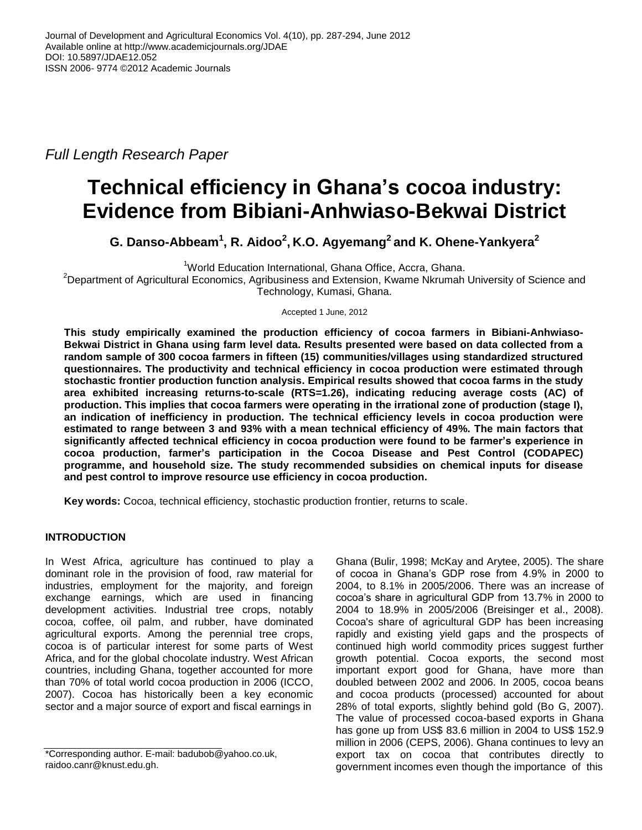*Full Length Research Paper*

# **Technical efficiency in Ghana's cocoa industry: Evidence from Bibiani-Anhwiaso-Bekwai District**

**G. Danso-Abbeam<sup>1</sup> , R. Aidoo<sup>2</sup> , K.O. Agyemang<sup>2</sup> and K. Ohene-Yankyera<sup>2</sup>**

<sup>1</sup>World Education International, Ghana Office, Accra, Ghana.

<sup>2</sup>Department of Agricultural Economics, Agribusiness and Extension, Kwame Nkrumah University of Science and Technology, Kumasi, Ghana.

Accepted 1 June, 2012

**This study empirically examined the production efficiency of cocoa farmers in Bibiani-Anhwiaso-Bekwai District in Ghana using farm level data. Results presented were based on data collected from a random sample of 300 cocoa farmers in fifteen (15) communities/villages using standardized structured questionnaires. The productivity and technical efficiency in cocoa production were estimated through stochastic frontier production function analysis. Empirical results showed that cocoa farms in the study area exhibited increasing returns-to-scale (RTS=1.26), indicating reducing average costs (AC) of production. This implies that cocoa farmers were operating in the irrational zone of production (stage I), an indication of inefficiency in production. The technical efficiency levels in cocoa production were estimated to range between 3 and 93% with a mean technical efficiency of 49%. The main factors that significantly affected technical efficiency in cocoa production were found to be farmer's experience in cocoa production, farmer's participation in the Cocoa Disease and Pest Control (CODAPEC) programme, and household size. The study recommended subsidies on chemical inputs for disease and pest control to improve resource use efficiency in cocoa production.**

**Key words:** Cocoa, technical efficiency, stochastic production frontier, returns to scale.

## **INTRODUCTION**

In West Africa, agriculture has continued to play a dominant role in the provision of food, raw material for industries, employment for the majority, and foreign exchange earnings, which are used in financing development activities. Industrial tree crops, notably cocoa, coffee, oil palm, and rubber, have dominated agricultural exports. Among the perennial tree crops, cocoa is of particular interest for some parts of West Africa, and for the global chocolate industry. West African countries, including Ghana, together accounted for more than 70% of total world cocoa production in 2006 (ICCO, 2007). Cocoa has historically been a key economic sector and a major source of export and fiscal earnings in

Ghana (Bulir, 1998; McKay and Arytee, 2005). The share of cocoa in Ghana's GDP rose from 4.9% in 2000 to 2004, to 8.1% in 2005/2006. There was an increase of cocoa's share in agricultural GDP from 13.7% in 2000 to 2004 to 18.9% in 2005/2006 (Breisinger et al., 2008). Cocoa's share of agricultural GDP has been increasing rapidly and existing yield gaps and the prospects of continued high world commodity prices suggest further growth potential. Cocoa exports, the second most important export good for Ghana, have more than doubled between 2002 and 2006. In 2005, cocoa beans and cocoa products (processed) accounted for about 28% of total exports, slightly behind gold (Bo G, 2007). The value of processed cocoa-based exports in Ghana has gone up from US\$ 83.6 million in 2004 to US\$ 152.9 million in 2006 (CEPS, 2006). Ghana continues to levy an export tax on cocoa that contributes directly to government incomes even though the importance of this

<sup>\*</sup>Corresponding author. E-mail: badubob@yahoo.co.uk, raidoo.canr@knust.edu.gh.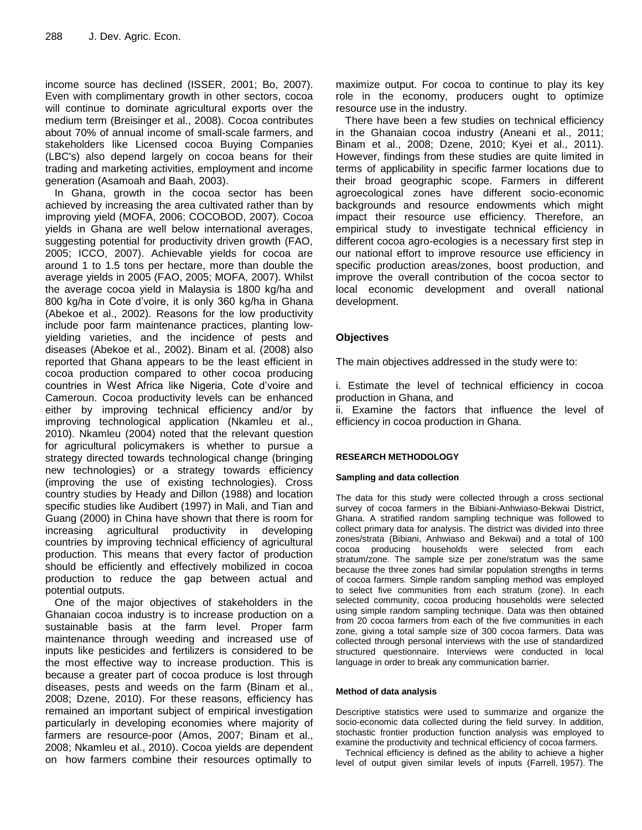income source has declined (ISSER, 2001; Bo, 2007). Even with complimentary growth in other sectors, cocoa will continue to dominate agricultural exports over the medium term (Breisinger et al., 2008). Cocoa contributes about 70% of annual income of small-scale farmers, and stakeholders like Licensed cocoa Buying Companies (LBC's) also depend largely on cocoa beans for their trading and marketing activities, employment and income generation (Asamoah and Baah, 2003).

In Ghana, growth in the cocoa sector has been achieved by increasing the area cultivated rather than by improving yield (MOFA, 2006; COCOBOD, 2007). Cocoa yields in Ghana are well below international averages, suggesting potential for productivity driven growth (FAO, 2005; ICCO, 2007). Achievable yields for cocoa are around 1 to 1.5 tons per hectare, more than double the average yields in 2005 (FAO, 2005; MOFA, 2007). Whilst the average cocoa yield in Malaysia is 1800 kg/ha and 800 kg/ha in Cote d'voire, it is only 360 kg/ha in Ghana (Abekoe et al., 2002). Reasons for the low productivity include poor farm maintenance practices, planting lowyielding varieties, and the incidence of pests and diseases (Abekoe et al., 2002). Binam et al. (2008) also reported that Ghana appears to be the least efficient in cocoa production compared to other cocoa producing countries in West Africa like Nigeria, Cote d'voire and Cameroun. Cocoa productivity levels can be enhanced either by improving technical efficiency and/or by improving technological application (Nkamleu et al., 2010). Nkamleu (2004) noted that the relevant question for agricultural policymakers is whether to pursue a strategy directed towards technological change (bringing new technologies) or a strategy towards efficiency (improving the use of existing technologies). Cross country studies by Heady and Dillon (1988) and location specific studies like Audibert (1997) in Mali, and Tian and Guang (2000) in China have shown that there is room for increasing agricultural productivity in developing countries by improving technical efficiency of agricultural production. This means that every factor of production should be efficiently and effectively mobilized in cocoa production to reduce the gap between actual and potential outputs.

One of the major objectives of stakeholders in the Ghanaian cocoa industry is to increase production on a sustainable basis at the farm level. Proper farm maintenance through weeding and increased use of inputs like pesticides and fertilizers is considered to be the most effective way to increase production. This is because a greater part of cocoa produce is lost through diseases, pests and weeds on the farm (Binam et al., 2008; Dzene, 2010). For these reasons, efficiency has remained an important subject of empirical investigation particularly in developing economies where majority of farmers are resource-poor (Amos, 2007; Binam et al., 2008; Nkamleu et al., 2010). Cocoa yields are dependent on how farmers combine their resources optimally to

maximize output. For cocoa to continue to play its key role in the economy, producers ought to optimize resource use in the industry.

There have been a few studies on technical efficiency in the Ghanaian cocoa industry (Aneani et al., 2011; Binam et al., 2008; Dzene, 2010; Kyei et al., 2011). However, findings from these studies are quite limited in terms of applicability in specific farmer locations due to their broad geographic scope. Farmers in different agroecological zones have different socio-economic backgrounds and resource endowments which might impact their resource use efficiency. Therefore, an empirical study to investigate technical efficiency in different cocoa agro-ecologies is a necessary first step in our national effort to improve resource use efficiency in specific production areas/zones, boost production, and improve the overall contribution of the cocoa sector to local economic development and overall national development.

## **Objectives**

The main objectives addressed in the study were to:

i. Estimate the level of technical efficiency in cocoa production in Ghana, and

ii. Examine the factors that influence the level of efficiency in cocoa production in Ghana.

## **RESEARCH METHODOLOGY**

#### **Sampling and data collection**

The data for this study were collected through a cross sectional survey of cocoa farmers in the Bibiani-Anhwiaso-Bekwai District, Ghana. A stratified random sampling technique was followed to collect primary data for analysis. The district was divided into three zones/strata (Bibiani, Anhwiaso and Bekwai) and a total of 100 cocoa producing households were selected from each stratum/zone. The sample size per zone/stratum was the same because the three zones had similar population strengths in terms of cocoa farmers. Simple random sampling method was employed to select five communities from each stratum (zone). In each selected community, cocoa producing households were selected using simple random sampling technique. Data was then obtained from 20 cocoa farmers from each of the five communities in each zone, giving a total sample size of 300 cocoa farmers. Data was collected through personal interviews with the use of standardized structured questionnaire. Interviews were conducted in local language in order to break any communication barrier.

#### **Method of data analysis**

Descriptive statistics were used to summarize and organize the socio-economic data collected during the field survey. In addition, stochastic frontier production function analysis was employed to examine the productivity and technical efficiency of cocoa farmers.

Technical efficiency is defined as the ability to achieve a higher level of output given similar levels of inputs (Farrell, 1957). The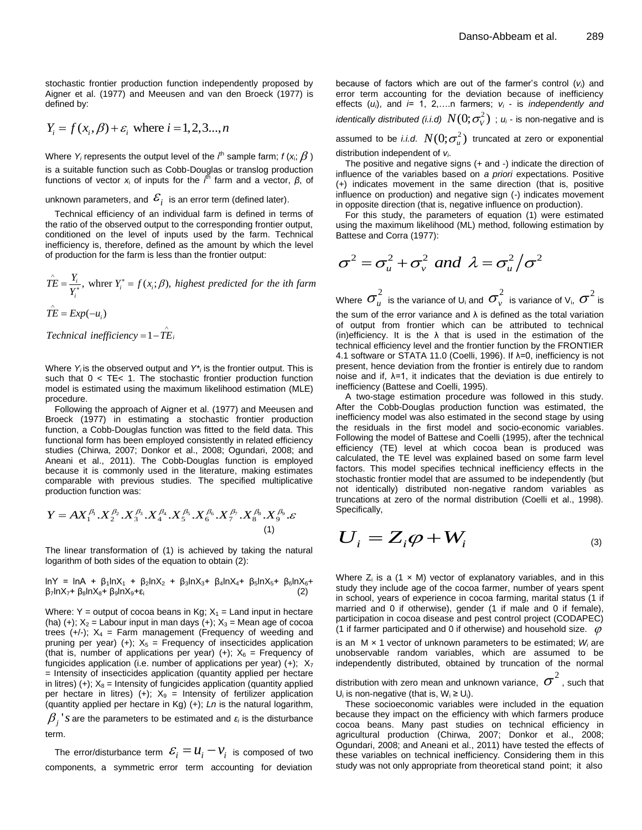stochastic frontier production function independently proposed by Aigner et al. (1977) and Meeusen and van den Broeck (1977) is defined by:

$$
Y_i = f(x_i, \beta) + \varepsilon_i
$$
 where  $i = 1, 2, 3, ..., n$ 

Where  $Y_i$  represents the output level of the  $i^{\text{th}}$  sample farm;  $f$  ( $\mathsf{x}_i$ ;  $\beta$  ) is a suitable function such as Cobb-Douglas or translog production functions of vector *x*<sup>i</sup> of inputs for the *i* th farm and a vector, *β*, of

unknown parameters, and  $\,{\cal E}^{\,}_{i}\,$  is an error term (defined later).

Technical efficiency of an individual farm is defined in terms of the ratio of the observed output to the corresponding frontier output, conditioned on the level of inputs used by the farm. Technical inefficiency is, therefore, defined as the amount by which the level

of production for the farm is less than the frontier output:  
\n
$$
\hat{TE} = \frac{Y_i}{Y_i^*},
$$
\nwhere  $Y_i^* = f(x_i; \beta)$ , highest predicted for the ith farm  
\n
$$
\hat{TE} = Exp(-u_i)
$$

$$
\hat{T}\hat{E} = Exp(-u_i)
$$

 $\hat{TE} = Exp(-u_i)$ <br> *Technical inefficiency* =  $1 - \hat{TE}_i$  $\wedge$  $=1-\hat{T}\hat{E}_i$ 

 such that 0 < TE< 1. The stochastic frontier production function Where *Y<sup>i</sup>* is the observed output and *Y\*<sup>i</sup>* is the frontier output. This is model is estimated using the maximum likelihood estimation (MLE) procedure.

Following the approach of Aigner et al. (1977) and Meeusen and Broeck (1977) in estimating a stochastic frontier production function, a Cobb-Douglas function was fitted to the field data. This functional form has been employed consistently in related efficiency studies (Chirwa, 2007; Donkor et al., 2008; Ogundari, 2008; and Aneani et al., 2011). The Cobb-Douglas function is employed because it is commonly used in the literature, making estimates comparable with previous studies. The specified multiplicative production function was:

production function was:  
\n
$$
Y = AX_1^{\beta_1} \cdot X_2^{\beta_2} \cdot X_3^{\beta_3} \cdot X_4^{\beta_4} \cdot X_5^{\beta_5} \cdot X_6^{\beta_6} \cdot X_7^{\beta_7} \cdot X_8^{\beta_8} \cdot X_9^{\beta_9} \cdot \varepsilon
$$
\n(1)

The linear transformation of (1) is achieved by taking the natural logarithm of both sides of the equation to obtain (2):

 $lnY = lnA + β<sub>1</sub>lnX<sub>1</sub> + β<sub>2</sub>lnX<sub>2</sub> + β<sub>3</sub>lnX<sub>3</sub> + β<sub>4</sub>lnX<sub>4</sub> + β<sub>5</sub>lnX<sub>5</sub> + β<sub>6</sub>lnX<sub>6</sub> +$  $\beta_7$ lnX<sub>7</sub>+ β<sub>8</sub>lnX<sub>8</sub>+ β<sub>9</sub>lnX<sub>9</sub>+ε<sub>i</sub>

Where: Y = output of cocoa beans in Kg;  $X_1$  = Land input in hectare (ha) (+);  $X_2$  = Labour input in man days (+);  $X_3$  = Mean age of cocoa trees  $(+/-)$ ;  $X_4$  = Farm management (Frequency of weeding and pruning per year) (+);  $X_5$  = Frequency of insecticides application (that is, number of applications per year) (+);  $X_6$  = Frequency of fungicides application (i.e. number of applications per year)  $(+)$ ;  $X_7$ = Intensity of insecticides application (quantity applied per hectare in litres) (+);  $X_8$  = Intensity of fungicides application (quantity applied per hectare in litres) (+);  $X_9$  = Intensity of fertilizer application (quantity applied per hectare in Kg) (+); *Ln* is the natural logarithm,  $\beta_j$  '*s* are the parameters to be estimated and *ε<sub>i</sub>* is the disturbance term.

The error/disturbance term  $\mathcal{E}^{\vphantom{\dagger}}_i = \mathcal{U}^{\vphantom{\dagger}}_i - \mathcal{V}^{\vphantom{\dagger}}_i$  is composed of two components, a symmetric error term accounting for deviation

because of factors which are out of the farmer's control (*vi*) and error term accounting for the deviation because of inefficiency effects (*ui*), and *i*= 1, 2,….n farmers; *v<sup>i</sup>* - is *independently and identically distributed (i.i.d)*  $N(0; \sigma_{\!\scriptscriptstyle V}^2)$  ;  $\scriptstyle u_{\!\scriptscriptstyle I}$  - is non-negative and is assumed to be *i.i.d.*  $N(0;\sigma^2_u)$  truncated at zero or exponential distribution independent of *vi*.

The positive and negative signs (+ and -) indicate the direction of influence of the variables based on *a priori* expectations. Positive (+) indicates movement in the same direction (that is, positive influence on production) and negative sign (-) indicates movement in opposite direction (that is, negative influence on production).

For this study, the parameters of equation (1) were estimated using the maximum likelihood (ML) method, following estimation by Battese and Corra (1977):

$$
\sigma^2 = \sigma_u^2 + \sigma_v^2 \text{ and } \lambda = \sigma_u^2 / \sigma^2
$$

Where  $\sigma^2_u$  is the variance of U<sub>i</sub> and  $\sigma^2_v$  is variance of V<sub>i</sub>,  $\sigma^2$  is the sum of the error variance and  $\lambda$  is defined as the total variation of output from frontier which can be attributed to technical (in)efficiency. It is the  $\lambda$  that is used in the estimation of the technical efficiency level and the frontier function by the FRONTIER 4.1 software or STATA 11.0 (Coelli, 1996). If λ=0, inefficiency is not present, hence deviation from the frontier is entirely due to random noise and if,  $λ=1$ , it indicates that the deviation is due entirely to inefficiency (Battese and Coelli, 1995).

A two-stage estimation procedure was followed in this study. After the Cobb-Douglas production function was estimated, the inefficiency model was also estimated in the second stage by using the residuals in the first model and socio-economic variables. Following the model of Battese and Coelli (1995), after the technical efficiency (TE) level at which cocoa bean is produced was calculated, the TE level was explained based on some farm level factors. This model specifies technical inefficiency effects in the stochastic frontier model that are assumed to be independently (but not identically) distributed non-negative random variables as truncations at zero of the normal distribution (Coelli et al., 1998). Specifically,

$$
U_i = Z_i \varphi + W_i \tag{3}
$$

Where  $Z_i$  is a (1  $\times$  M) vector of explanatory variables, and in this study they include age of the cocoa farmer, number of years spent in school, years of experience in cocoa farming, marital status (1 if married and 0 if otherwise), gender (1 if male and 0 if female), participation in cocoa disease and pest control project (CODAPEC) (1 if farmer participated and 0 if otherwise) and household size.  $\varphi$ 

is an M × 1 vector of unknown parameters to be estimated; *W<sup>i</sup>* are unobservable random variables, which are assumed to be independently distributed, obtained by truncation of the normal

distribution with zero mean and unknown variance,  $\sigma^2$  , such that U<sub>i</sub> is non-negative (that is,  $W_i \ge U_i$ ).

These socioeconomic variables were included in the equation because they impact on the efficiency with which farmers produce cocoa beans. Many past studies on technical efficiency in agricultural production (Chirwa, 2007; Donkor et al., 2008; Ogundari, 2008; and Aneani et al., 2011) have tested the effects of these variables on technical inefficiency. Considering them in this study was not only appropriate from theoretical stand point; it also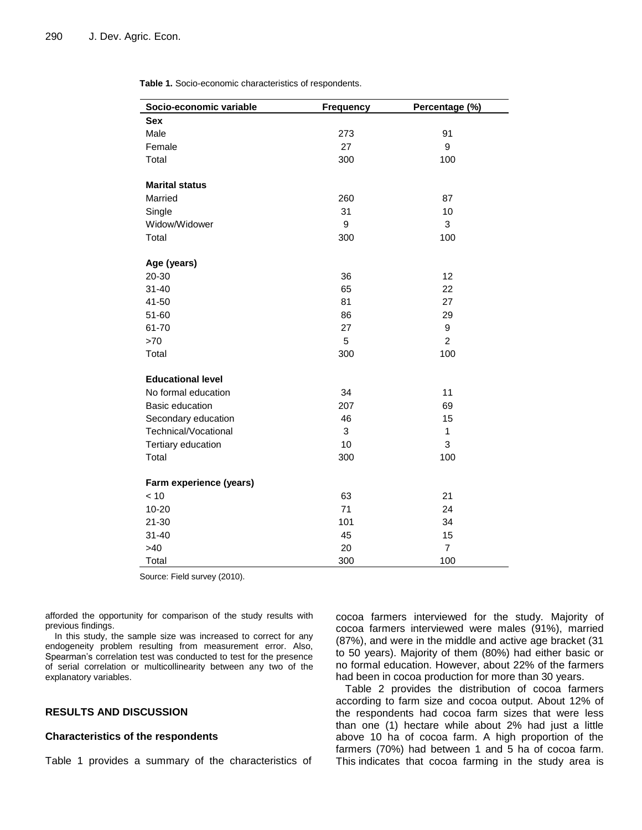**Table 1.** Socio-economic characteristics of respondents.

| Socio-economic variable  | <b>Frequency</b> | Percentage (%) |
|--------------------------|------------------|----------------|
| Sex                      |                  |                |
| Male                     | 273              | 91             |
| Female                   | 27               | 9              |
| Total                    | 300              | 100            |
| <b>Marital status</b>    |                  |                |
| Married                  | 260              | 87             |
| Single                   | 31               | 10             |
| Widow/Widower            | 9                | 3              |
| Total                    | 300              | 100            |
|                          |                  |                |
| Age (years)              |                  |                |
| 20-30                    | 36               | 12             |
| $31 - 40$                | 65               | 22             |
| 41-50                    | 81               | 27             |
| 51-60                    | 86               | 29             |
| 61-70                    | 27               | 9              |
| >70                      | 5                | $\overline{c}$ |
| Total                    | 300              | 100            |
| <b>Educational level</b> |                  |                |
| No formal education      | 34               | 11             |
| Basic education          | 207              | 69             |
| Secondary education      | 46               | 15             |
| Technical/Vocational     | 3                | 1              |
| Tertiary education       | 10               | 3              |
| Total                    | 300              | 100            |
| Farm experience (years)  |                  |                |
| < 10                     | 63               | 21             |
| $10 - 20$                | 71               | 24             |
| 21-30                    | 101              | 34             |
| $31 - 40$                | 45               | 15             |
| >40                      | 20               | $\overline{7}$ |
| Total                    | 300              | 100            |

Source: Field survey (2010).

afforded the opportunity for comparison of the study results with previous findings.

In this study, the sample size was increased to correct for any endogeneity problem resulting from measurement error. Also, Spearman's correlation test was conducted to test for the presence of serial correlation or multicollinearity between any two of the explanatory variables.

## **RESULTS AND DISCUSSION**

#### **Characteristics of the respondents**

Table 1 provides a summary of the characteristics of

cocoa farmers interviewed for the study. Majority of cocoa farmers interviewed were males (91%), married (87%), and were in the middle and active age bracket (31 to 50 years). Majority of them (80%) had either basic or no formal education. However, about 22% of the farmers had been in cocoa production for more than 30 years.

Table 2 provides the distribution of cocoa farmers according to farm size and cocoa output. About 12% of the respondents had cocoa farm sizes that were less than one (1) hectare while about 2% had just a little above 10 ha of cocoa farm. A high proportion of the farmers (70%) had between 1 and 5 ha of cocoa farm. This indicates that cocoa farming in the study area is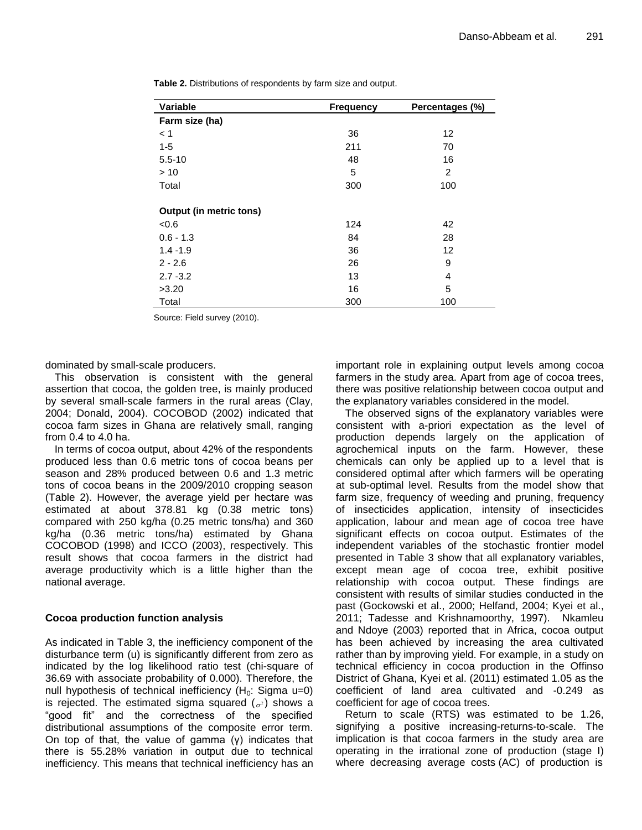| Variable                       | <b>Frequency</b> | Percentages (%) |
|--------------------------------|------------------|-----------------|
| Farm size (ha)                 |                  |                 |
| < 1                            | 36               | 12              |
| $1 - 5$                        | 211              | 70              |
| $5.5 - 10$                     | 48               | 16              |
| >10                            | 5                | 2               |
| Total                          | 300              | 100             |
|                                |                  |                 |
| <b>Output (in metric tons)</b> |                  |                 |
| <0.6                           | 124              | 42              |
| $0.6 - 1.3$                    | 84               | 28              |
| $1.4 - 1.9$                    | 36               | 12              |
| $2 - 2.6$                      | 26               | 9               |
| $2.7 - 3.2$                    | 13               | 4               |
| >3.20                          | 16               | 5               |
| Total                          | 300              | 100             |

**Table 2.** Distributions of respondents by farm size and output.

Source: Field survey (2010).

dominated by small-scale producers.

This observation is consistent with the general assertion that cocoa, the golden tree, is mainly produced by several small-scale farmers in the rural areas (Clay, 2004; Donald, 2004). COCOBOD (2002) indicated that cocoa farm sizes in Ghana are relatively small, ranging from 0.4 to 4.0 ha.

In terms of cocoa output, about 42% of the respondents produced less than 0.6 metric tons of cocoa beans per season and 28% produced between 0.6 and 1.3 metric tons of cocoa beans in the 2009/2010 cropping season (Table 2). However, the average yield per hectare was estimated at about 378.81 kg (0.38 metric tons) compared with 250 kg/ha (0.25 metric tons/ha) and 360 kg/ha (0.36 metric tons/ha) estimated by Ghana COCOBOD (1998) and ICCO (2003), respectively. This result shows that cocoa farmers in the district had average productivity which is a little higher than the national average.

## **Cocoa production function analysis**

As indicated in Table 3, the inefficiency component of the disturbance term (u) is significantly different from zero as indicated by the log likelihood ratio test (chi-square of 36.69 with associate probability of 0.000). Therefore, the null hypothesis of technical inefficiency  $(H_0:$  Sigma u=0) is rejected. The estimated sigma squared  $({}_{\sigma^2})$  shows a "good fit" and the correctness of the specified distributional assumptions of the composite error term. On top of that, the value of gamma (γ) indicates that there is 55.28% variation in output due to technical inefficiency. This means that technical inefficiency has an

important role in explaining output levels among cocoa farmers in the study area. Apart from age of cocoa trees, there was positive relationship between cocoa output and the explanatory variables considered in the model.

The observed signs of the explanatory variables were consistent with a-priori expectation as the level of production depends largely on the application of agrochemical inputs on the farm. However, these chemicals can only be applied up to a level that is considered optimal after which farmers will be operating at sub-optimal level. Results from the model show that farm size, frequency of weeding and pruning, frequency of insecticides application, intensity of insecticides application, labour and mean age of cocoa tree have significant effects on cocoa output. Estimates of the independent variables of the stochastic frontier model presented in Table 3 show that all explanatory variables, except mean age of cocoa tree, exhibit positive relationship with cocoa output. These findings are consistent with results of similar studies conducted in the past (Gockowski et al., 2000; Helfand, 2004; Kyei et al., 2011; Tadesse and Krishnamoorthy, 1997). Nkamleu and Ndoye (2003) reported that in Africa, cocoa output has been achieved by increasing the area cultivated rather than by improving yield. For example, in a study on technical efficiency in cocoa production in the Offinso District of Ghana, Kyei et al. (2011) estimated 1.05 as the coefficient of land area cultivated and -0.249 as coefficient for age of cocoa trees.

Return to scale (RTS) was estimated to be 1.26, signifying a positive increasing-returns-to-scale. The implication is that cocoa farmers in the study area are operating in the irrational zone of production (stage I) where decreasing average costs (AC) of production is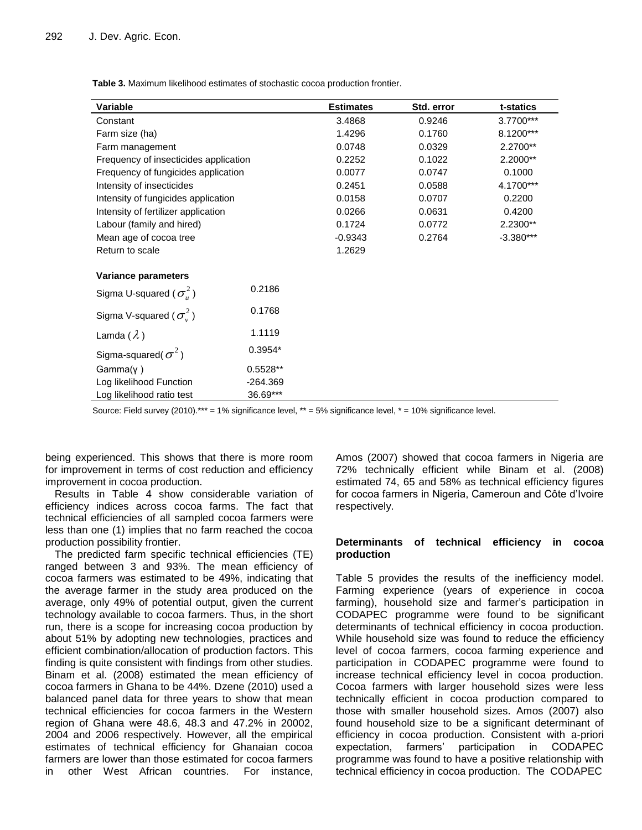**Table 3.** Maximum likelihood estimates of stochastic cocoa production frontier.

| <b>Variable</b>                       |            | <b>Estimates</b> | Std. error | t-statics   |
|---------------------------------------|------------|------------------|------------|-------------|
| Constant                              |            | 3.4868           | 0.9246     | 3.7700***   |
| Farm size (ha)                        |            | 1.4296           | 0.1760     | 8.1200***   |
| Farm management                       |            | 0.0748           | 0.0329     | 2.2700**    |
| Frequency of insecticides application |            | 0.2252           | 0.1022     | 2.2000**    |
| Frequency of fungicides application   |            | 0.0077           | 0.0747     | 0.1000      |
| Intensity of insecticides             |            | 0.2451           | 0.0588     | 4.1700***   |
| Intensity of fungicides application   |            | 0.0158           | 0.0707     | 0.2200      |
| Intensity of fertilizer application   |            | 0.0266           | 0.0631     | 0.4200      |
| Labour (family and hired)             |            | 0.1724           | 0.0772     | 2.2300**    |
| Mean age of cocoa tree                |            | $-0.9343$        | 0.2764     | $-3.380***$ |
| Return to scale                       |            | 1.2629           |            |             |
| Variance parameters                   |            |                  |            |             |
| Sigma U-squared ( $\sigma_u^2$ )      | 0.2186     |                  |            |             |
| Sigma V-squared ( $\sigma^2$ )        | 0.1768     |                  |            |             |
| Lamda $(\lambda)$                     | 1.1119     |                  |            |             |
| Sigma-squared( $\sigma^2$ )           | $0.3954*$  |                  |            |             |
| $Gamma(\gamma)$                       | $0.5528**$ |                  |            |             |
| Log likelihood Function               | -264.369   |                  |            |             |
| Log likelihood ratio test             | 36.69***   |                  |            |             |

Source: Field survey (2010).\*\*\* = 1% significance level, \*\* = 5% significance level, \* = 10% significance level.

being experienced. This shows that there is more room for improvement in terms of cost reduction and efficiency improvement in cocoa production.

Results in Table 4 show considerable variation of efficiency indices across cocoa farms. The fact that technical efficiencies of all sampled cocoa farmers were less than one (1) implies that no farm reached the cocoa production possibility frontier.

The predicted farm specific technical efficiencies (TE) ranged between 3 and 93%. The mean efficiency of cocoa farmers was estimated to be 49%, indicating that the average farmer in the study area produced on the average, only 49% of potential output, given the current technology available to cocoa farmers. Thus, in the short run, there is a scope for increasing cocoa production by about 51% by adopting new technologies, practices and efficient combination/allocation of production factors. This finding is quite consistent with findings from other studies. Binam et al. (2008) estimated the mean efficiency of cocoa farmers in Ghana to be 44%. Dzene (2010) used a balanced panel data for three years to show that mean technical efficiencies for cocoa farmers in the Western region of Ghana were 48.6, 48.3 and 47.2% in 20002, 2004 and 2006 respectively. However, all the empirical estimates of technical efficiency for Ghanaian cocoa farmers are lower than those estimated for cocoa farmers in other West African countries. For instance,

Amos (2007) showed that cocoa farmers in Nigeria are 72% technically efficient while Binam et al. (2008) estimated 74, 65 and 58% as technical efficiency figures for cocoa farmers in Nigeria, Cameroun and Côte d'Ivoire respectively.

### **Determinants of technical efficiency in cocoa production**

Table 5 provides the results of the inefficiency model. Farming experience (years of experience in cocoa farming), household size and farmer's participation in CODAPEC programme were found to be significant determinants of technical efficiency in cocoa production. While household size was found to reduce the efficiency level of cocoa farmers, cocoa farming experience and participation in CODAPEC programme were found to increase technical efficiency level in cocoa production. Cocoa farmers with larger household sizes were less technically efficient in cocoa production compared to those with smaller household sizes. Amos (2007) also found household size to be a significant determinant of efficiency in cocoa production. Consistent with a-priori expectation, farmers' participation in CODAPEC programme was found to have a positive relationship with technical efficiency in cocoa production. The CODAPEC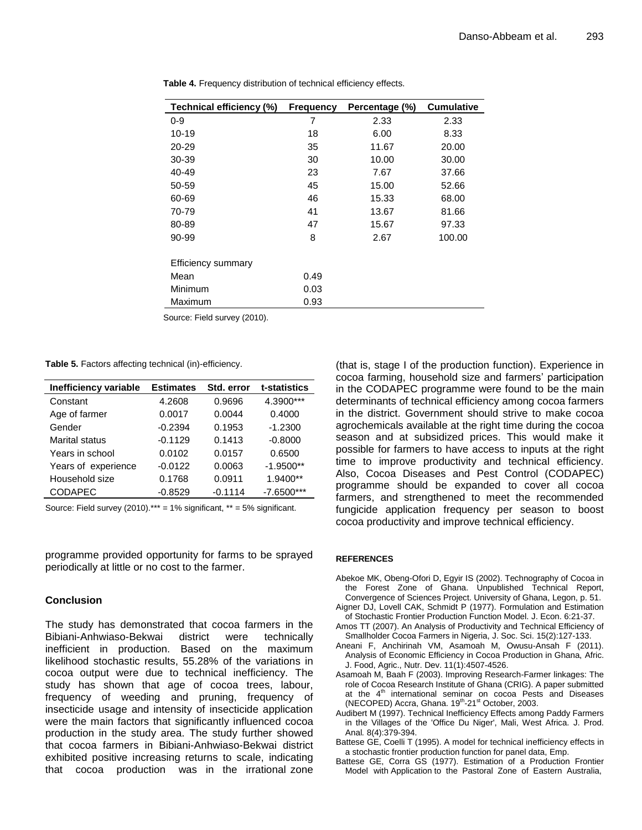| Technical efficiency (%)  | <b>Frequency</b> | Percentage (%) | <b>Cumulative</b> |
|---------------------------|------------------|----------------|-------------------|
| $0 - 9$                   | 7                | 2.33           | 2.33              |
| 10-19                     | 18               | 6.00           | 8.33              |
| 20-29                     | 35               | 11.67          | 20.00             |
| 30-39                     | 30               | 10.00          | 30.00             |
| 40-49                     | 23               | 7.67           | 37.66             |
| 50-59                     | 45               | 15.00          | 52.66             |
| 60-69                     | 46               | 15.33          | 68.00             |
| 70-79                     | 41               | 13.67          | 81.66             |
| 80-89                     | 47               | 15.67          | 97.33             |
| 90-99                     | 8                | 2.67           | 100.00            |
| <b>Efficiency summary</b> |                  |                |                   |
| Mean                      | 0.49             |                |                   |
| Minimum                   | 0.03             |                |                   |
| Maximum                   | 0.93             |                |                   |

**Table 4.** Frequency distribution of technical efficiency effects.

Source: Field survey (2010).

**Table 5.** Factors affecting technical (in)-efficiency.

| Inefficiency variable | <b>Estimates</b> | Std. error | t-statistics |
|-----------------------|------------------|------------|--------------|
| Constant              | 4.2608           | 0.9696     | 4.3900***    |
| Age of farmer         | 0.0017           | 0.0044     | 0.4000       |
| Gender                | $-0.2394$        | 0.1953     | $-1.2300$    |
| <b>Marital status</b> | $-0.1129$        | 0.1413     | $-0.8000$    |
| Years in school       | 0.0102           | 0.0157     | 0.6500       |
| Years of experience   | $-0.0122$        | 0.0063     | $-1.9500**$  |
| Household size        | 0.1768           | 0.0911     | 1.9400**     |
| <b>CODAPEC</b>        | $-0.8529$        | $-0.1114$  | $-7.6500***$ |

Source: Field survey  $(2010).***$  = 1% significant,  $**$  = 5% significant.

programme provided opportunity for farms to be sprayed periodically at little or no cost to the farmer.

#### **Conclusion**

The study has demonstrated that cocoa farmers in the Bibiani-Anhwiaso-Bekwai district were technically inefficient in production. Based on the maximum likelihood stochastic results, 55.28% of the variations in cocoa output were due to technical inefficiency. The study has shown that age of cocoa trees, labour, frequency of weeding and pruning, frequency of insecticide usage and intensity of insecticide application were the main factors that significantly influenced cocoa production in the study area. The study further showed that cocoa farmers in Bibiani-Anhwiaso-Bekwai district exhibited positive increasing returns to scale, indicating that cocoa production was in the irrational zone (that is, stage I of the production function). Experience in cocoa farming, household size and farmers' participation in the CODAPEC programme were found to be the main determinants of technical efficiency among cocoa farmers in the district. Government should strive to make cocoa agrochemicals available at the right time during the cocoa season and at subsidized prices. This would make it possible for farmers to have access to inputs at the right time to improve productivity and technical efficiency. Also, Cocoa Diseases and Pest Control (CODAPEC) programme should be expanded to cover all cocoa farmers, and strengthened to meet the recommended fungicide application frequency per season to boost cocoa productivity and improve technical efficiency.

#### **REFERENCES**

- Abekoe MK, Obeng-Ofori D, Egyir IS (2002). Technography of Cocoa in the Forest Zone of Ghana. Unpublished Technical Report, Convergence of Sciences Project. University of Ghana, Legon, p. 51.
- Aigner DJ, Lovell CAK, Schmidt P (1977). Formulation and Estimation of Stochastic Frontier Production Function Model. J. Econ. 6:21-37.
- Amos TT (2007). An Analysis of Productivity and Technical Efficiency of Smallholder Cocoa Farmers in Nigeria, J. Soc. Sci. 15(2):127-133.
- Aneani F, Anchirinah VM, Asamoah M, Owusu-Ansah F (2011). Analysis of Economic Efficiency in Cocoa Production in Ghana, Afric. J. Food, Agric., Nutr. Dev. 11(1):4507-4526.
- Asamoah M, Baah F (2003). Improving Research-Farmer linkages: The role of Cocoa Research Institute of Ghana (CRIG). A paper submitted at the  $4<sup>th</sup>$  international seminar on cocoa Pests and Diseases (NECOPED) Accra, Ghana. 19<sup>th</sup>-21<sup>st</sup> October, 2003.
- Audibert M (1997). Technical Inefficiency Effects among Paddy Farmers in the Villages of the 'Office Du Niger', Mali, West Africa. J. Prod. Anal*.* 8(4):379-394.
- Battese GE, Coelli T (1995). A model for technical inefficiency effects in a stochastic frontier production function for panel data, Emp.
- Battese GE, Corra GS (1977). Estimation of a Production Frontier Model with Application to the Pastoral Zone of Eastern Australia,